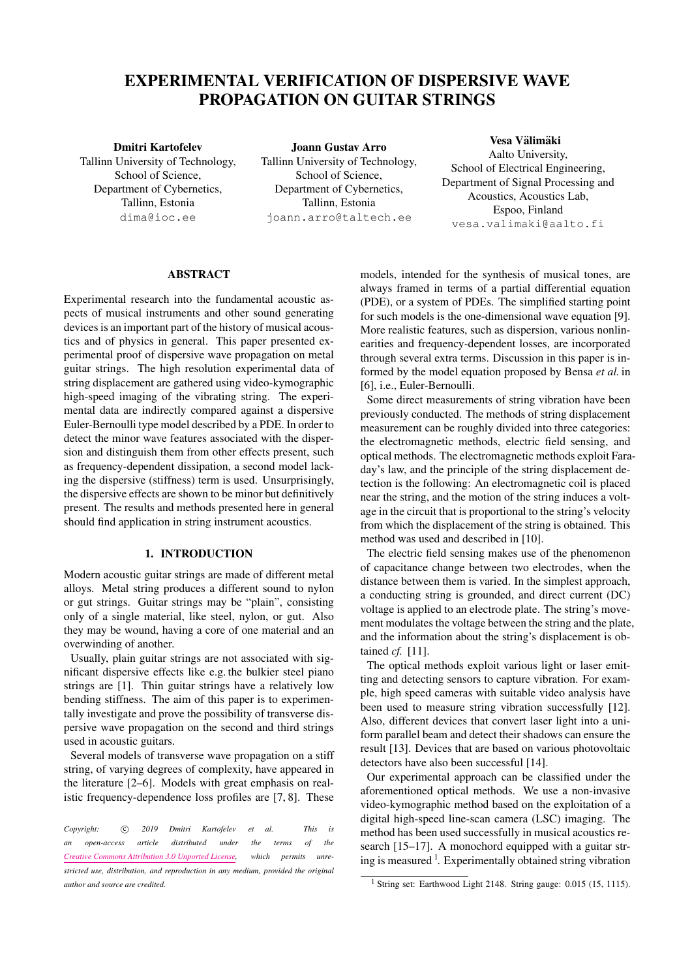# EXPERIMENTAL VERIFICATION OF DISPERSIVE WAVE PROPAGATION ON GUITAR STRINGS

# Dmitri Kartofelev Tallinn University of Technology, School of Science, Department of Cybernetics, Tallinn, Estonia [dima@ioc.ee](mailto:dima@ioc.ee)

Joann Gustav Arro Tallinn University of Technology, School of Science, Department of Cybernetics, Tallinn, Estonia [joann.arro@taltech.ee](mailto:joann.arro@taltech.ee)

# Vesa Välimäki Aalto University, School of Electrical Engineering, Department of Signal Processing and Acoustics, Acoustics Lab, Espoo, Finland [vesa.valimaki@aalto.fi](mailto:vesa.valimaki@aalto.fi)

## **ABSTRACT**

Experimental research into the fundamental acoustic aspects of musical instruments and other sound generating devices is an important part of the history of musical acoustics and of physics in general. This paper presented experimental proof of dispersive wave propagation on metal guitar strings. The high resolution experimental data of string displacement are gathered using video-kymographic high-speed imaging of the vibrating string. The experimental data are indirectly compared against a dispersive Euler-Bernoulli type model described by a PDE. In order to detect the minor wave features associated with the dispersion and distinguish them from other effects present, such as frequency-dependent dissipation, a second model lacking the dispersive (stiffness) term is used. Unsurprisingly, the dispersive effects are shown to be minor but definitively present. The results and methods presented here in general should find application in string instrument acoustics.

## 1. INTRODUCTION

Modern acoustic guitar strings are made of different metal alloys. Metal string produces a different sound to nylon or gut strings. Guitar strings may be "plain", consisting only of a single material, like steel, nylon, or gut. Also they may be wound, having a core of one material and an overwinding of another.

Usually, plain guitar strings are not associated with significant dispersive effects like e.g. the bulkier steel piano strings are [\[1\]](#page-7-0). Thin guitar strings have a relatively low bending stiffness. The aim of this paper is to experimentally investigate and prove the possibility of transverse dispersive wave propagation on the second and third strings used in acoustic guitars.

Several models of transverse wave propagation on a stiff string, of varying degrees of complexity, have appeared in the literature [\[2–](#page-7-1)[6\]](#page-7-2). Models with great emphasis on realistic frequency-dependence loss profiles are [\[7,](#page-7-3) [8\]](#page-7-4). These

Copyright: 
C 2019 Dmitri Kartofelev et al. This is *an open-access article distributed under the terms of the [Creative Commons Attribution 3.0 Unported License,](http://creativecommons.org/licenses/by/3.0/) which permits unrestricted use, distribution, and reproduction in any medium, provided the original author and source are credited.*

models, intended for the synthesis of musical tones, are always framed in terms of a partial differential equation (PDE), or a system of PDEs. The simplified starting point for such models is the one-dimensional wave equation [\[9\]](#page-7-5). More realistic features, such as dispersion, various nonlinearities and frequency-dependent losses, are incorporated through several extra terms. Discussion in this paper is informed by the model equation proposed by Bensa *et al.* in [\[6\]](#page-7-2), i.e., Euler-Bernoulli.

Some direct measurements of string vibration have been previously conducted. The methods of string displacement measurement can be roughly divided into three categories: the electromagnetic methods, electric field sensing, and optical methods. The electromagnetic methods exploit Faraday's law, and the principle of the string displacement detection is the following: An electromagnetic coil is placed near the string, and the motion of the string induces a voltage in the circuit that is proportional to the string's velocity from which the displacement of the string is obtained. This method was used and described in [\[10\]](#page-7-6).

The electric field sensing makes use of the phenomenon of capacitance change between two electrodes, when the distance between them is varied. In the simplest approach, a conducting string is grounded, and direct current (DC) voltage is applied to an electrode plate. The string's movement modulates the voltage between the string and the plate, and the information about the string's displacement is obtained *cf.* [\[11\]](#page-7-7).

The optical methods exploit various light or laser emitting and detecting sensors to capture vibration. For example, high speed cameras with suitable video analysis have been used to measure string vibration successfully [\[12\]](#page-7-8). Also, different devices that convert laser light into a uniform parallel beam and detect their shadows can ensure the result [\[13\]](#page-7-9). Devices that are based on various photovoltaic detectors have also been successful [\[14\]](#page-7-10).

Our experimental approach can be classified under the aforementioned optical methods. We use a non-invasive video-kymographic method based on the exploitation of a digital high-speed line-scan camera (LSC) imaging. The method has been used successfully in musical acoustics research [\[15–](#page-7-11)[17\]](#page-7-12). A monochord equipped with a guitar str-ing is measured <sup>1</sup>[.](#page-0-0) Experimentally obtained string vibration

<span id="page-0-0"></span><sup>&</sup>lt;sup>1</sup> String set: Earthwood Light 2148. String gauge: 0.015 (15, 1115).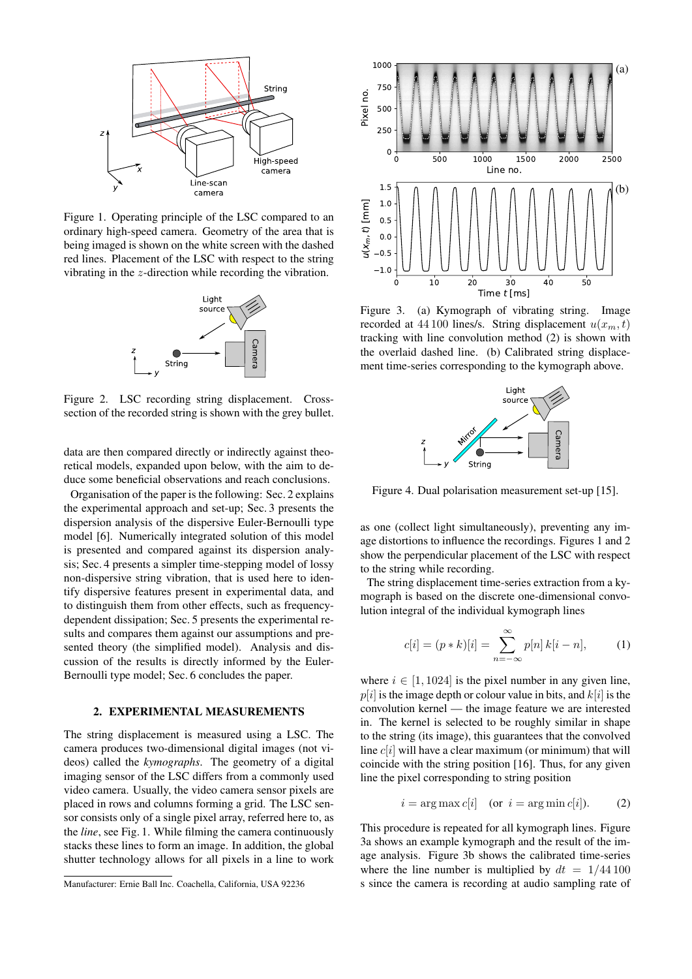<span id="page-1-1"></span>

Figure 1. Operating principle of the LSC compared to an ordinary high-speed camera. Geometry of the area that is being imaged is shown on the white screen with the dashed red lines. Placement of the LSC with respect to the string vibrating in the z-direction while recording the vibration.

<span id="page-1-3"></span>

Figure 2. LSC recording string displacement. Crosssection of the recorded string is shown with the grey bullet.

data are then compared directly or indirectly against theoretical models, expanded upon below, with the aim to deduce some beneficial observations and reach conclusions.

Organisation of the paper is the following: Sec. [2](#page-1-0) explains the experimental approach and set-up; Sec. [3](#page-2-0) presents the dispersion analysis of the dispersive Euler-Bernoulli type model [\[6\]](#page-7-2). Numerically integrated solution of this model is presented and compared against its dispersion analysis; Sec. [4](#page-4-0) presents a simpler time-stepping model of lossy non-dispersive string vibration, that is used here to identify dispersive features present in experimental data, and to distinguish them from other effects, such as frequencydependent dissipation; Sec. [5](#page-5-0) presents the experimental results and compares them against our assumptions and presented theory (the simplified model). Analysis and discussion of the results is directly informed by the Euler-Bernoulli type model; Sec. [6](#page-6-0) concludes the paper.

#### 2. EXPERIMENTAL MEASUREMENTS

<span id="page-1-0"></span>The string displacement is measured using a LSC. The camera produces two-dimensional digital images (not videos) called the *kymographs*. The geometry of a digital imaging sensor of the LSC differs from a commonly used video camera. Usually, the video camera sensor pixels are placed in rows and columns forming a grid. The LSC sensor consists only of a single pixel array, referred here to, as the *line*, see Fig. [1.](#page-1-1) While filming the camera continuously stacks these lines to form an image. In addition, the global shutter technology allows for all pixels in a line to work



<span id="page-1-4"></span>

Figure 3. (a) Kymograph of vibrating string. Image recorded at 44 100 lines/s. String displacement  $u(x_m, t)$ tracking with line convolution method [\(2\)](#page-1-2) is shown with the overlaid dashed line. (b) Calibrated string displacement time-series corresponding to the kymograph above.

<span id="page-1-5"></span>

Figure 4. Dual polarisation measurement set-up [\[15\]](#page-7-11).

as one (collect light simultaneously), preventing any image distortions to influence the recordings. Figures [1](#page-1-1) and [2](#page-1-3) show the perpendicular placement of the LSC with respect to the string while recording.

The string displacement time-series extraction from a kymograph is based on the discrete one-dimensional convolution integral of the individual kymograph lines

$$
c[i] = (p * k)[i] = \sum_{n = -\infty}^{\infty} p[n] k[i - n],
$$
 (1)

where  $i \in [1, 1024]$  is the pixel number in any given line,  $p[i]$  is the image depth or colour value in bits, and  $k[i]$  is the convolution kernel — the image feature we are interested in. The kernel is selected to be roughly similar in shape to the string (its image), this guarantees that the convolved line  $c[i]$  will have a clear maximum (or minimum) that will coincide with the string position [\[16\]](#page-7-13). Thus, for any given line the pixel corresponding to string position

<span id="page-1-2"></span>
$$
i = \arg \max c[i] \quad \text{(or } i = \arg \min c[i]). \tag{2}
$$

This procedure is repeated for all kymograph lines. Figure [3a](#page-1-4) shows an example kymograph and the result of the image analysis. Figure [3b](#page-1-4) shows the calibrated time-series where the line number is multiplied by  $dt = 1/44100$ s since the camera is recording at audio sampling rate of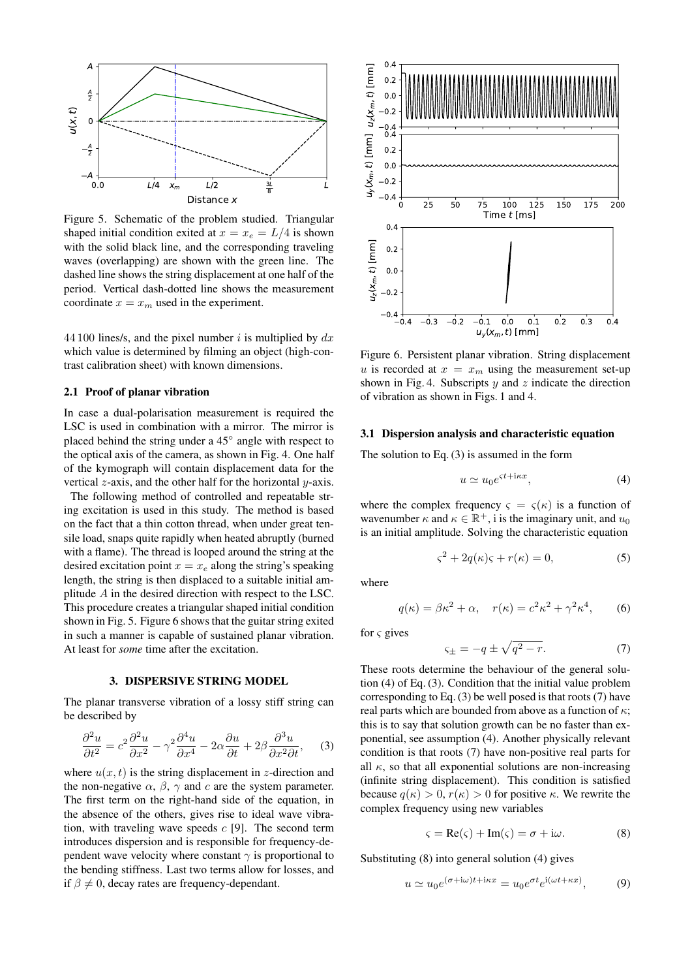<span id="page-2-1"></span>

Figure 5. Schematic of the problem studied. Triangular shaped initial condition exited at  $x = x_e = L/4$  is shown with the solid black line, and the corresponding traveling waves (overlapping) are shown with the green line. The dashed line shows the string displacement at one half of the period. Vertical dash-dotted line shows the measurement coordinate  $x = x_m$  used in the experiment.

44 100 lines/s, and the pixel number i is multiplied by  $dx$ which value is determined by filming an object (high-contrast calibration sheet) with known dimensions.

#### 2.1 Proof of planar vibration

In case a dual-polarisation measurement is required the LSC is used in combination with a mirror. The mirror is placed behind the string under a 45° angle with respect to the optical axis of the camera, as shown in Fig. [4.](#page-1-5) One half of the kymograph will contain displacement data for the vertical  $z$ -axis, and the other half for the horizontal  $y$ -axis.

The following method of controlled and repeatable string excitation is used in this study. The method is based on the fact that a thin cotton thread, when under great tensile load, snaps quite rapidly when heated abruptly (burned with a flame). The thread is looped around the string at the desired excitation point  $x = x_e$  along the string's speaking length, the string is then displaced to a suitable initial amplitude A in the desired direction with respect to the LSC. This procedure creates a triangular shaped initial condition shown in Fig. [5.](#page-2-1) Figure [6](#page-2-2) shows that the guitar string exited in such a manner is capable of sustained planar vibration. At least for *some* time after the excitation.

#### 3. DISPERSIVE STRING MODEL

<span id="page-2-0"></span>The planar transverse vibration of a lossy stiff string can be described by

<span id="page-2-3"></span>
$$
\frac{\partial^2 u}{\partial t^2} = c^2 \frac{\partial^2 u}{\partial x^2} - \gamma^2 \frac{\partial^4 u}{\partial x^4} - 2\alpha \frac{\partial u}{\partial t} + 2\beta \frac{\partial^3 u}{\partial x^2 \partial t}, \quad (3)
$$

where  $u(x, t)$  is the string displacement in z-direction and the non-negative  $\alpha$ ,  $\beta$ ,  $\gamma$  and c are the system parameter. The first term on the right-hand side of the equation, in the absence of the others, gives rise to ideal wave vibration, with traveling wave speeds  $c$  [\[9\]](#page-7-5). The second term introduces dispersion and is responsible for frequency-dependent wave velocity where constant  $\gamma$  is proportional to the bending stiffness. Last two terms allow for losses, and if  $\beta \neq 0$ , decay rates are frequency-dependant.

<span id="page-2-2"></span>

Figure 6. Persistent planar vibration. String displacement u is recorded at  $x = x_m$  using the measurement set-up shown in Fig. [4.](#page-1-5) Subscripts  $y$  and  $z$  indicate the direction of vibration as shown in Figs. [1](#page-1-1) and [4.](#page-1-5)

#### 3.1 Dispersion analysis and characteristic equation

The solution to Eq. [\(3\)](#page-2-3) is assumed in the form

<span id="page-2-5"></span> $\varsigma$ +

<span id="page-2-4"></span>
$$
u \simeq u_0 e^{\varsigma t + i\kappa x},\tag{4}
$$

where the complex frequency  $\varsigma = \varsigma(\kappa)$  is a function of wavenumber  $\kappa$  and  $\kappa \in \mathbb{R}^+$ , i is the imaginary unit, and  $u_0$ is an initial amplitude. Solving the characteristic equation

$$
\varsigma^2 + 2q(\kappa)\varsigma + r(\kappa) = 0,\tag{5}
$$

where

$$
q(\kappa) = \beta \kappa^2 + \alpha, \quad r(\kappa) = c^2 \kappa^2 + \gamma^2 \kappa^4, \tag{6}
$$

for  $\varsigma$  gives

$$
=-q \pm \sqrt{q^2 - r}.\tag{7}
$$

These roots determine the behaviour of the general solution [\(4\)](#page-2-4) of Eq. [\(3\)](#page-2-3). Condition that the initial value problem corresponding to Eq. [\(3\)](#page-2-3) be well posed is that roots [\(7\)](#page-2-5) have real parts which are bounded from above as a function of  $\kappa$ ; this is to say that solution growth can be no faster than exponential, see assumption [\(4\)](#page-2-4). Another physically relevant condition is that roots [\(7\)](#page-2-5) have non-positive real parts for all  $\kappa$ , so that all exponential solutions are non-increasing (infinite string displacement). This condition is satisfied because  $q(\kappa) > 0, r(\kappa) > 0$  for positive  $\kappa$ . We rewrite the complex frequency using new variables

<span id="page-2-6"></span>
$$
\varsigma = \text{Re}(\varsigma) + \text{Im}(\varsigma) = \sigma + \mathrm{i}\omega. \tag{8}
$$

Substituting [\(8\)](#page-2-6) into general solution [\(4\)](#page-2-4) gives

$$
u \simeq u_0 e^{(\sigma + i\omega)t + i\kappa x} = u_0 e^{\sigma t} e^{i(\omega t + \kappa x)}, \tag{9}
$$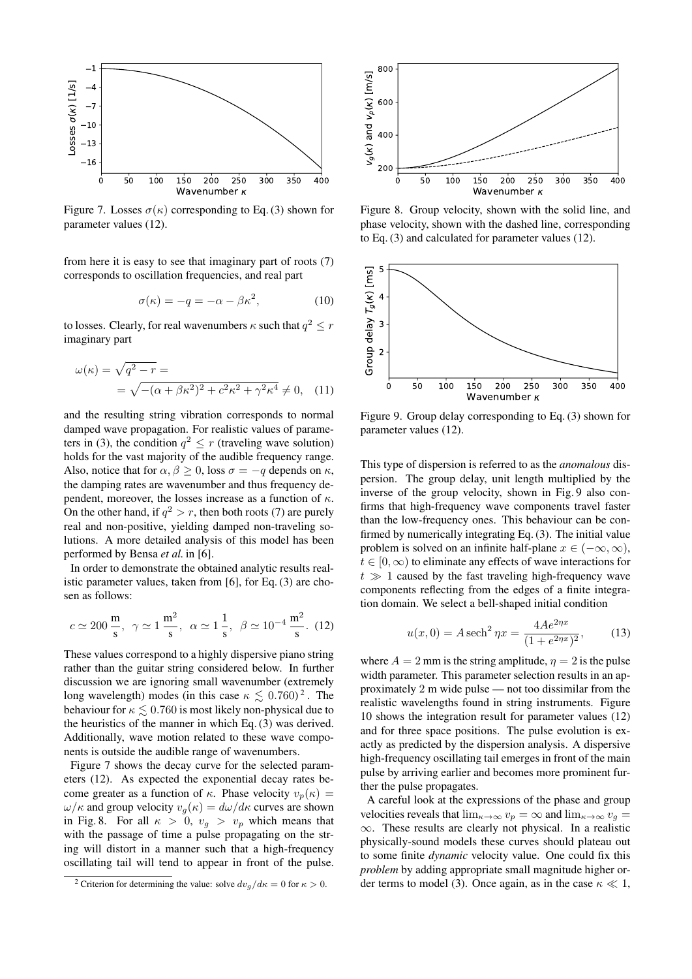<span id="page-3-2"></span>

Figure 7. Losses  $\sigma(\kappa)$  corresponding to Eq. [\(3\)](#page-2-3) shown for parameter values [\(12\)](#page-3-0).

from here it is easy to see that imaginary part of roots [\(7\)](#page-2-5) corresponds to oscillation frequencies, and real part

<span id="page-3-6"></span>
$$
\sigma(\kappa) = -q = -\alpha - \beta \kappa^2,\tag{10}
$$

to losses. Clearly, for real wavenumbers  $\kappa$  such that  $q^2\leq r$ imaginary part

$$
\omega(\kappa) = \sqrt{q^2 - r} =
$$
  
=  $\sqrt{-(\alpha + \beta \kappa^2)^2 + c^2 \kappa^2 + \gamma^2 \kappa^4} \neq 0$ , (11)

and the resulting string vibration corresponds to normal damped wave propagation. For realistic values of parame-ters in [\(3\)](#page-2-3), the condition  $q^2 \le r$  (traveling wave solution) holds for the vast majority of the audible frequency range. Also, notice that for  $\alpha, \beta \ge 0$ , loss  $\sigma = -q$  depends on  $\kappa$ , the damping rates are wavenumber and thus frequency dependent, moreover, the losses increase as a function of  $\kappa$ . On the other hand, if  $q^2 > r$ , then both roots [\(7\)](#page-2-5) are purely real and non-positive, yielding damped non-traveling solutions. A more detailed analysis of this model has been performed by Bensa *et al.* in [\[6\]](#page-7-2).

In order to demonstrate the obtained analytic results realistic parameter values, taken from [\[6\]](#page-7-2), for Eq. [\(3\)](#page-2-3) are chosen as follows:

<span id="page-3-0"></span>
$$
c \simeq 200 \frac{\text{m}}{\text{s}}, \ \gamma \simeq 1 \frac{\text{m}^2}{\text{s}}, \ \alpha \simeq 1 \frac{1}{\text{s}}, \ \beta \simeq 10^{-4} \frac{\text{m}^2}{\text{s}}.
$$
 (12)

These values correspond to a highly dispersive piano string rather than the guitar string considered below. In further discussion we are ignoring small wavenumber (extremely long wavelength) modes (in this case  $\kappa \lesssim 0.760)^2$  $\kappa \lesssim 0.760)^2$ . The behaviour for  $\kappa \leq 0.760$  is most likely non-physical due to the heuristics of the manner in which Eq. [\(3\)](#page-2-3) was derived. Additionally, wave motion related to these wave components is outside the audible range of wavenumbers.

Figure [7](#page-3-2) shows the decay curve for the selected parameters [\(12\)](#page-3-0). As expected the exponential decay rates become greater as a function of  $\kappa$ . Phase velocity  $v_p(\kappa)$  =  $\omega/\kappa$  and group velocity  $v_q(\kappa) = d\omega/d\kappa$  curves are shown in Fig. [8.](#page-3-3) For all  $\kappa > 0$ ,  $v_q > v_p$  which means that with the passage of time a pulse propagating on the string will distort in a manner such that a high-frequency oscillating tail will tend to appear in front of the pulse.

<span id="page-3-3"></span>

Figure 8. Group velocity, shown with the solid line, and phase velocity, shown with the dashed line, corresponding to Eq. [\(3\)](#page-2-3) and calculated for parameter values [\(12\)](#page-3-0).

<span id="page-3-4"></span>

<span id="page-3-7"></span>Figure 9. Group delay corresponding to Eq. [\(3\)](#page-2-3) shown for parameter values [\(12\)](#page-3-0).

This type of dispersion is referred to as the *anomalous* dispersion. The group delay, unit length multiplied by the inverse of the group velocity, shown in Fig. [9](#page-3-4) also confirms that high-frequency wave components travel faster than the low-frequency ones. This behaviour can be confirmed by numerically integrating Eq. [\(3\)](#page-2-3). The initial value problem is solved on an infinite half-plane  $x \in (-\infty, \infty)$ ,  $t \in [0, \infty)$  to eliminate any effects of wave interactions for  $t \gg 1$  caused by the fast traveling high-frequency wave components reflecting from the edges of a finite integration domain. We select a bell-shaped initial condition

<span id="page-3-5"></span>
$$
u(x,0) = A \operatorname{sech}^2 \eta x = \frac{4Ae^{2\eta x}}{(1 + e^{2\eta x})^2},\qquad(13)
$$

where  $A = 2$  mm is the string amplitude,  $\eta = 2$  is the pulse width parameter. This parameter selection results in an approximately 2 m wide pulse — not too dissimilar from the realistic wavelengths found in string instruments. Figure [10](#page-4-1) shows the integration result for parameter values [\(12\)](#page-3-0) and for three space positions. The pulse evolution is exactly as predicted by the dispersion analysis. A dispersive high-frequency oscillating tail emerges in front of the main pulse by arriving earlier and becomes more prominent further the pulse propagates.

A careful look at the expressions of the phase and group velocities reveals that  $\lim_{\kappa \to \infty} v_p = \infty$  and  $\lim_{\kappa \to \infty} v_q =$  $\infty$ . These results are clearly not physical. In a realistic physically-sound models these curves should plateau out to some finite *dynamic* velocity value. One could fix this *problem* by adding appropriate small magnitude higher or-der terms to model [\(3\)](#page-2-3). Once again, as in the case  $\kappa \ll 1$ ,

<span id="page-3-1"></span><sup>&</sup>lt;sup>2</sup> Criterion for determining the value: solve  $dv_q/d\kappa = 0$  for  $\kappa > 0$ .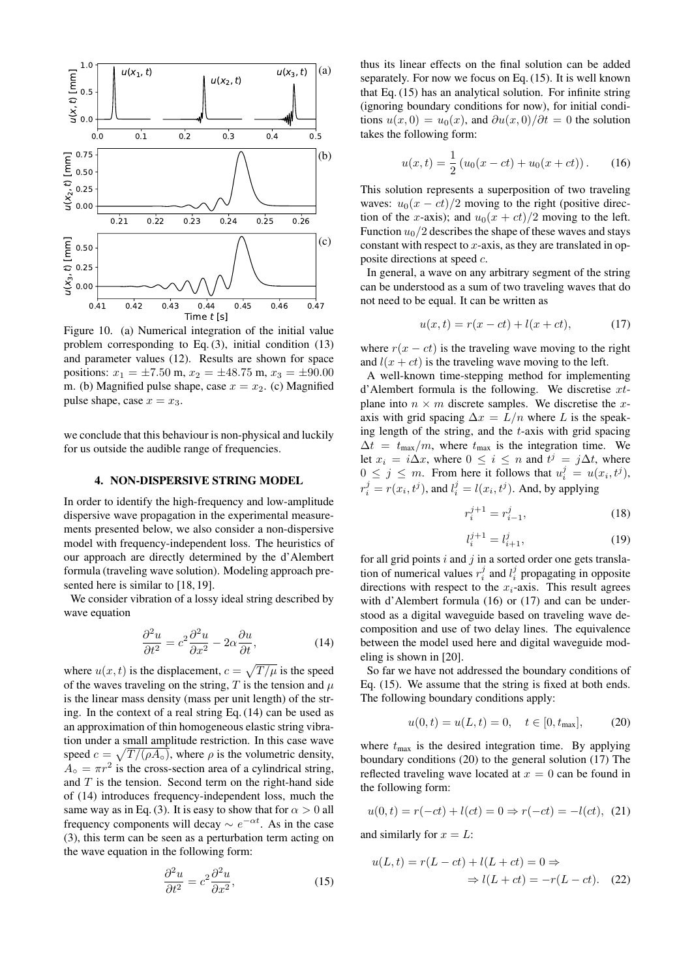<span id="page-4-1"></span>

Figure 10. (a) Numerical integration of the initial value problem corresponding to Eq. [\(3\)](#page-2-3), initial condition [\(13\)](#page-3-5) and parameter values [\(12\)](#page-3-0). Results are shown for space positions:  $x_1 = \pm 7.50$  m,  $x_2 = \pm 48.75$  m,  $x_3 = \pm 90.00$ m. (b) Magnified pulse shape, case  $x = x_2$ . (c) Magnified pulse shape, case  $x = x_3$ .

we conclude that this behaviour is non-physical and luckily for us outside the audible range of frequencies.

#### 4. NON-DISPERSIVE STRING MODEL

<span id="page-4-0"></span>In order to identify the high-frequency and low-amplitude dispersive wave propagation in the experimental measurements presented below, we also consider a non-dispersive model with frequency-independent loss. The heuristics of our approach are directly determined by the d'Alembert formula (traveling wave solution). Modeling approach pre-sented here is similar to [\[18,](#page-7-14) [19\]](#page-7-15).

We consider vibration of a lossy ideal string described by wave equation

<span id="page-4-2"></span>
$$
\frac{\partial^2 u}{\partial t^2} = c^2 \frac{\partial^2 u}{\partial x^2} - 2\alpha \frac{\partial u}{\partial t},\tag{14}
$$

where  $u(x, t)$  is the displacement,  $c = \sqrt{T / \mu}$  is the speed of the waves traveling on the string,  $T$  is the tension and  $\mu$ is the linear mass density (mass per unit length) of the string. In the context of a real string Eq. [\(14\)](#page-4-2) can be used as an approximation of thin homogeneous elastic string vibration under a small amplitude restriction. In this case wave speed  $c = \sqrt{T/(\rho A_{\rm o})}$ , where  $\rho$  is the volumetric density,  $A_{\circ} = \pi r^2$  is the cross-section area of a cylindrical string, and  $T$  is the tension. Second term on the right-hand side of [\(14\)](#page-4-2) introduces frequency-independent loss, much the same way as in Eq. [\(3\)](#page-2-3). It is easy to show that for  $\alpha > 0$  all frequency components will decay  $\sim e^{-\alpha t}$ . As in the case [\(3\)](#page-2-3), this term can be seen as a perturbation term acting on the wave equation in the following form:

<span id="page-4-3"></span>
$$
\frac{\partial^2 u}{\partial t^2} = c^2 \frac{\partial^2 u}{\partial x^2},\tag{15}
$$

thus its linear effects on the final solution can be added separately. For now we focus on Eq. [\(15\)](#page-4-3). It is well known that Eq. [\(15\)](#page-4-3) has an analytical solution. For infinite string (ignoring boundary conditions for now), for initial conditions  $u(x, 0) = u_0(x)$ , and  $\frac{\partial u(x, 0)}{\partial t} = 0$  the solution takes the following form:

<span id="page-4-4"></span>
$$
u(x,t) = \frac{1}{2} (u_0(x-ct) + u_0(x+ct)).
$$
 (16)

This solution represents a superposition of two traveling waves:  $u_0(x - ct)/2$  moving to the right (positive direction of the x-axis); and  $u_0(x + ct)/2$  moving to the left. Function  $u_0/2$  describes the shape of these waves and stays constant with respect to  $x$ -axis, as they are translated in opposite directions at speed c.

In general, a wave on any arbitrary segment of the string can be understood as a sum of two traveling waves that do not need to be equal. It can be written as

<span id="page-4-5"></span>
$$
u(x,t) = r(x - ct) + l(x + ct),
$$
 (17)

where  $r(x - ct)$  is the traveling wave moving to the right and  $l(x + ct)$  is the traveling wave moving to the left.

A well-known time-stepping method for implementing d'Alembert formula is the following. We discretise xtplane into  $n \times m$  discrete samples. We discretise the xaxis with grid spacing  $\Delta x = L/n$  where L is the speaking length of the string, and the  $t$ -axis with grid spacing  $\Delta t = t_{\text{max}}/m$ , where  $t_{\text{max}}$  is the integration time. We let  $x_i = i\Delta x$ , where  $0 \le i \le n$  and  $t^j = j\Delta t$ , where  $0 \leq j \leq m$ . From here it follows that  $u_i^j = u(x_i, t^j)$ ,  $r_i^j = r(x_i, t^j)$ , and  $l_i^j = l(x_i, t^j)$ . And, by applying

<span id="page-4-9"></span>
$$
r_i^{j+1} = r_{i-1}^j,\tag{18}
$$

<span id="page-4-10"></span>
$$
l_i^{j+1} = l_{i+1}^j,\tag{19}
$$

for all grid points  $i$  and  $j$  in a sorted order one gets translation of numerical values  $r_i^j$  and  $l_i^j$  propagating in opposite directions with respect to the  $x_i$ -axis. This result agrees with d'Alembert formula [\(16\)](#page-4-4) or [\(17\)](#page-4-5) and can be understood as a digital waveguide based on traveling wave decomposition and use of two delay lines. The equivalence between the model used here and digital waveguide modeling is shown in [\[20\]](#page-7-16).

So far we have not addressed the boundary conditions of Eq. [\(15\)](#page-4-3). We assume that the string is fixed at both ends. The following boundary conditions apply:

<span id="page-4-6"></span>
$$
u(0,t) = u(L,t) = 0, \quad t \in [0, t_{\text{max}}], \tag{20}
$$

where  $t_{\text{max}}$  is the desired integration time. By applying boundary conditions [\(20\)](#page-4-6) to the general solution [\(17\)](#page-4-5) The reflected traveling wave located at  $x = 0$  can be found in the following form:

<span id="page-4-7"></span>
$$
u(0,t) = r(-ct) + l(ct) = 0 \Rightarrow r(-ct) = -l(ct), (21)
$$

and similarly for  $x = L$ :

<span id="page-4-8"></span>
$$
u(L,t) = r(L - ct) + l(L + ct) = 0 \Rightarrow
$$
  

$$
\Rightarrow l(L + ct) = -r(L - ct). \quad (22)
$$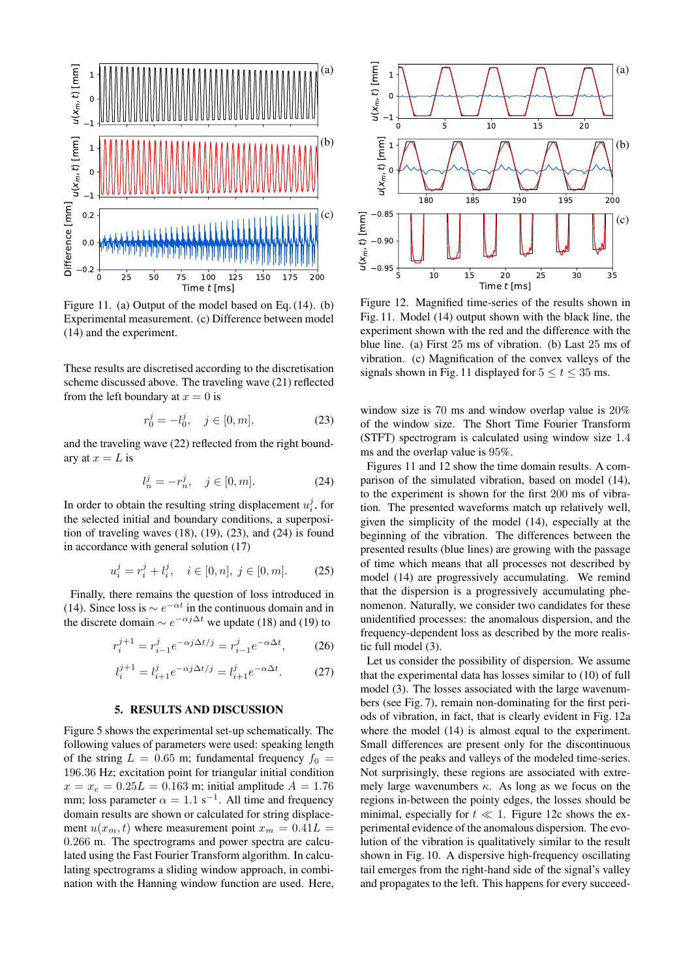<span id="page-5-3"></span>

Figure 11. (a) Output of the model based on Eq. [\(14\)](#page-4-2). (b) Experimental measurement. (c) Difference between model [\(14\)](#page-4-2) and the experiment.

These results are discretised according to the discretisation scheme discussed above. The traveling wave [\(21\)](#page-4-7) reflected from the left boundary at  $x = 0$  is

<span id="page-5-1"></span>
$$
r_0^j = -l_0^j, \quad j \in [0, m], \tag{23}
$$

and the traveling wave [\(22\)](#page-4-8) reflected from the right boundary at  $x = L$  is

<span id="page-5-2"></span>
$$
l_n^j = -r_n^j, \quad j \in [0, m]. \tag{24}
$$

In order to obtain the resulting string displacement  $u_i^j$ , for the selected initial and boundary conditions, a superposition of traveling waves  $(18)$ ,  $(19)$ ,  $(23)$ , and  $(24)$  is found in accordance with general solution [\(17\)](#page-4-5)

$$
u_i^j = r_i^j + l_i^j, \quad i \in [0, n], \ j \in [0, m]. \tag{25}
$$

Finally, there remains the question of loss introduced in [\(14\)](#page-4-2). Since loss is  $\sim e^{-\alpha t}$  in the continuous domain and in the discrete domain  $\sim e^{-\alpha j \Delta t}$  we update [\(18\)](#page-4-9) and [\(19\)](#page-4-10) to

$$
r_i^{j+1} = r_{i-1}^j e^{-\alpha j \Delta t / j} = r_{i-1}^j e^{-\alpha \Delta t}, \qquad (26)
$$

$$
l_i^{j+1} = l_{i+1}^j e^{-\alpha j \Delta t / j} = l_{i+1}^j e^{-\alpha \Delta t}.
$$
 (27)

### 5. RESULTS AND DISCUSSION

<span id="page-5-0"></span>Figure [5](#page-2-1) shows the experimental set-up schematically. The following values of parameters were used: speaking length of the string  $L = 0.65$  m; fundamental frequency  $f_0 =$ 196.36 Hz; excitation point for triangular initial condition  $x = x_e = 0.25L = 0.163$  m; initial amplitude  $A = 1.76$ mm; loss parameter  $\alpha = 1.1$  s<sup>-1</sup>. All time and frequency domain results are shown or calculated for string displacement  $u(x_m, t)$  where measurement point  $x_m = 0.41L$ 0.266 m. The spectrograms and power spectra are calculated using the Fast Fourier Transform algorithm. In calculating spectrograms a sliding window approach, in combination with the Hanning window function are used. Here,

<span id="page-5-4"></span>

Figure 12. Magnified time-series of the results shown in Fig. [11.](#page-5-3) Model [\(14\)](#page-4-2) output shown with the black line, the experiment shown with the red and the difference with the blue line. (a) First 25 ms of vibration. (b) Last 25 ms of vibration. (c) Magnification of the convex valleys of the signals shown in Fig. [11](#page-5-3) displayed for  $5 \le t \le 35$  ms.

window size is 70 ms and window overlap value is 20% of the window size. The Short Time Fourier Transform (STFT) spectrogram is calculated using window size 1.4 ms and the overlap value is 95%.

Figures [11](#page-5-3) and [12](#page-5-4) show the time domain results. A comparison of the simulated vibration, based on model [\(14\)](#page-4-2), to the experiment is shown for the first 200 ms of vibration. The presented waveforms match up relatively well, given the simplicity of the model [\(14\)](#page-4-2), especially at the beginning of the vibration. The differences between the presented results (blue lines) are growing with the passage of time which means that all processes not described by model [\(14\)](#page-4-2) are progressively accumulating. We remind that the dispersion is a progressively accumulating phenomenon. Naturally, we consider two candidates for these unidentified processes: the anomalous dispersion, and the frequency-dependent loss as described by the more realistic full model [\(3\)](#page-2-3).

Let us consider the possibility of dispersion. We assume that the experimental data has losses similar to [\(10\)](#page-3-6) of full model [\(3\)](#page-2-3). The losses associated with the large wavenumbers (see Fig. [7\)](#page-3-2), remain non-dominating for the first periods of vibration, in fact, that is clearly evident in Fig. [12a](#page-5-4) where the model [\(14\)](#page-4-2) is almost equal to the experiment. Small differences are present only for the discontinuous edges of the peaks and valleys of the modeled time-series. Not surprisingly, these regions are associated with extremely large wavenumbers  $\kappa$ . As long as we focus on the regions in-between the pointy edges, the losses should be minimal, especially for  $t \ll 1$ . Figure [12c](#page-5-4) shows the experimental evidence of the anomalous dispersion. The evolution of the vibration is qualitatively similar to the result shown in Fig. [10.](#page-4-1) A dispersive high-frequency oscillating tail emerges from the right-hand side of the signal's valley and propagates to the left. This happens for every succeed-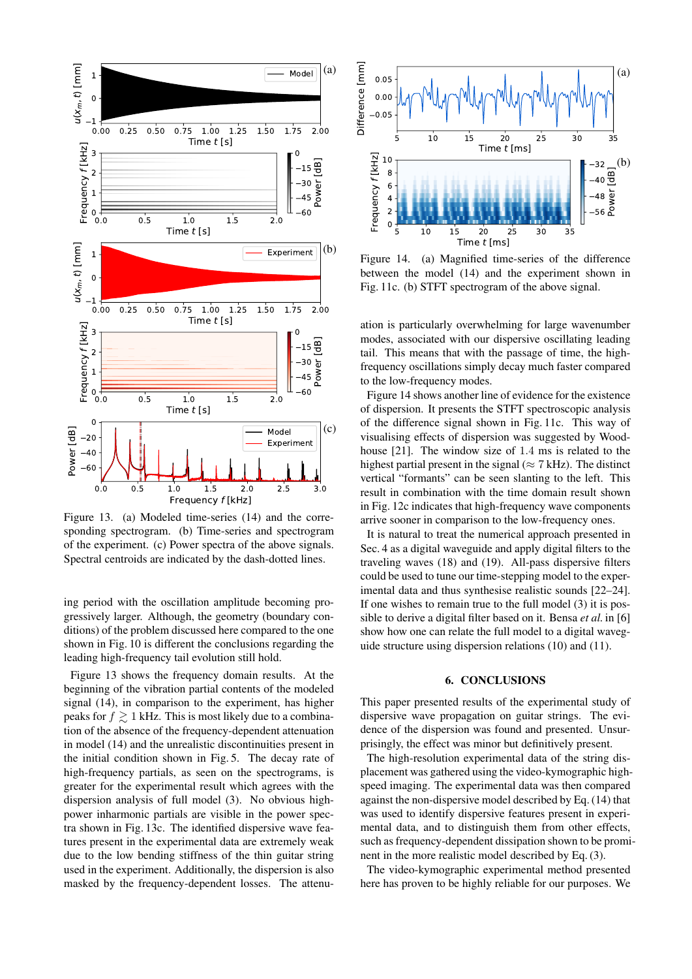<span id="page-6-1"></span>

Figure 13. (a) Modeled time-series [\(14\)](#page-4-2) and the corresponding spectrogram. (b) Time-series and spectrogram of the experiment. (c) Power spectra of the above signals. Spectral centroids are indicated by the dash-dotted lines.

ing period with the oscillation amplitude becoming progressively larger. Although, the geometry (boundary conditions) of the problem discussed here compared to the one shown in Fig. [10](#page-4-1) is different the conclusions regarding the leading high-frequency tail evolution still hold.

Figure [13](#page-6-1) shows the frequency domain results. At the beginning of the vibration partial contents of the modeled signal [\(14\)](#page-4-2), in comparison to the experiment, has higher peaks for  $f \ge 1$  kHz. This is most likely due to a combination of the absence of the frequency-dependent attenuation in model [\(14\)](#page-4-2) and the unrealistic discontinuities present in the initial condition shown in Fig. [5.](#page-2-1) The decay rate of high-frequency partials, as seen on the spectrograms, is greater for the experimental result which agrees with the dispersion analysis of full model [\(3\)](#page-2-3). No obvious highpower inharmonic partials are visible in the power spectra shown in Fig. [13c](#page-6-1). The identified dispersive wave features present in the experimental data are extremely weak due to the low bending stiffness of the thin guitar string used in the experiment. Additionally, the dispersion is also masked by the frequency-dependent losses. The attenu-

<span id="page-6-2"></span>

Figure 14. (a) Magnified time-series of the difference between the model [\(14\)](#page-4-2) and the experiment shown in Fig. [11c](#page-5-3). (b) STFT spectrogram of the above signal.

ation is particularly overwhelming for large wavenumber modes, associated with our dispersive oscillating leading tail. This means that with the passage of time, the highfrequency oscillations simply decay much faster compared to the low-frequency modes.

Figure [14](#page-6-2) shows another line of evidence for the existence of dispersion. It presents the STFT spectroscopic analysis of the difference signal shown in Fig. [11c](#page-5-3). This way of visualising effects of dispersion was suggested by Woodhouse [\[21\]](#page-7-17). The window size of 1.4 ms is related to the highest partial present in the signal ( $\approx$  7 kHz). The distinct vertical "formants" can be seen slanting to the left. This result in combination with the time domain result shown in Fig. [12c](#page-5-4) indicates that high-frequency wave components arrive sooner in comparison to the low-frequency ones.

It is natural to treat the numerical approach presented in Sec. [4](#page-4-0) as a digital waveguide and apply digital filters to the traveling waves [\(18\)](#page-4-9) and [\(19\)](#page-4-10). All-pass dispersive filters could be used to tune our time-stepping model to the experimental data and thus synthesise realistic sounds [\[22–](#page-7-18)[24\]](#page-7-19). If one wishes to remain true to the full model [\(3\)](#page-2-3) it is possible to derive a digital filter based on it. Bensa *et al.* in [\[6\]](#page-7-2) show how one can relate the full model to a digital waveguide structure using dispersion relations [\(10\)](#page-3-6) and [\(11\)](#page-3-7).

### 6. CONCLUSIONS

<span id="page-6-0"></span>This paper presented results of the experimental study of dispersive wave propagation on guitar strings. The evidence of the dispersion was found and presented. Unsurprisingly, the effect was minor but definitively present.

The high-resolution experimental data of the string displacement was gathered using the video-kymographic highspeed imaging. The experimental data was then compared against the non-dispersive model described by Eq. [\(14\)](#page-4-2) that was used to identify dispersive features present in experimental data, and to distinguish them from other effects, such as frequency-dependent dissipation shown to be prominent in the more realistic model described by Eq. [\(3\)](#page-2-3).

The video-kymographic experimental method presented here has proven to be highly reliable for our purposes. We